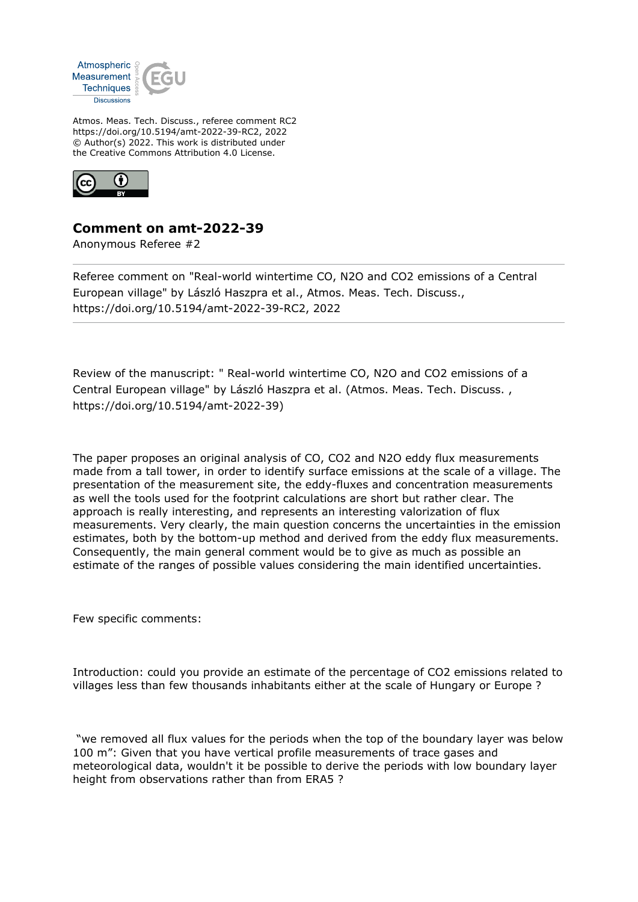

Atmos. Meas. Tech. Discuss., referee comment RC2 https://doi.org/10.5194/amt-2022-39-RC2, 2022 © Author(s) 2022. This work is distributed under the Creative Commons Attribution 4.0 License.



## **Comment on amt-2022-39**

Anonymous Referee #2

Referee comment on "Real-world wintertime CO, N2O and CO2 emissions of a Central European village" by László Haszpra et al., Atmos. Meas. Tech. Discuss., https://doi.org/10.5194/amt-2022-39-RC2, 2022

Review of the manuscript: " Real-world wintertime CO, N2O and CO2 emissions of a Central European village" by László Haszpra et al. (Atmos. Meas. Tech. Discuss. , https://doi.org/10.5194/amt-2022-39)

The paper proposes an original analysis of CO, CO2 and N2O eddy flux measurements made from a tall tower, in order to identify surface emissions at the scale of a village. The presentation of the measurement site, the eddy-fluxes and concentration measurements as well the tools used for the footprint calculations are short but rather clear. The approach is really interesting, and represents an interesting valorization of flux measurements. Very clearly, the main question concerns the uncertainties in the emission estimates, both by the bottom-up method and derived from the eddy flux measurements. Consequently, the main general comment would be to give as much as possible an estimate of the ranges of possible values considering the main identified uncertainties.

Few specific comments:

Introduction: could you provide an estimate of the percentage of CO2 emissions related to villages less than few thousands inhabitants either at the scale of Hungary or Europe ?

 "we removed all flux values for the periods when the top of the boundary layer was below 100 m": Given that you have vertical profile measurements of trace gases and meteorological data, wouldn't it be possible to derive the periods with low boundary layer height from observations rather than from ERA5 ?